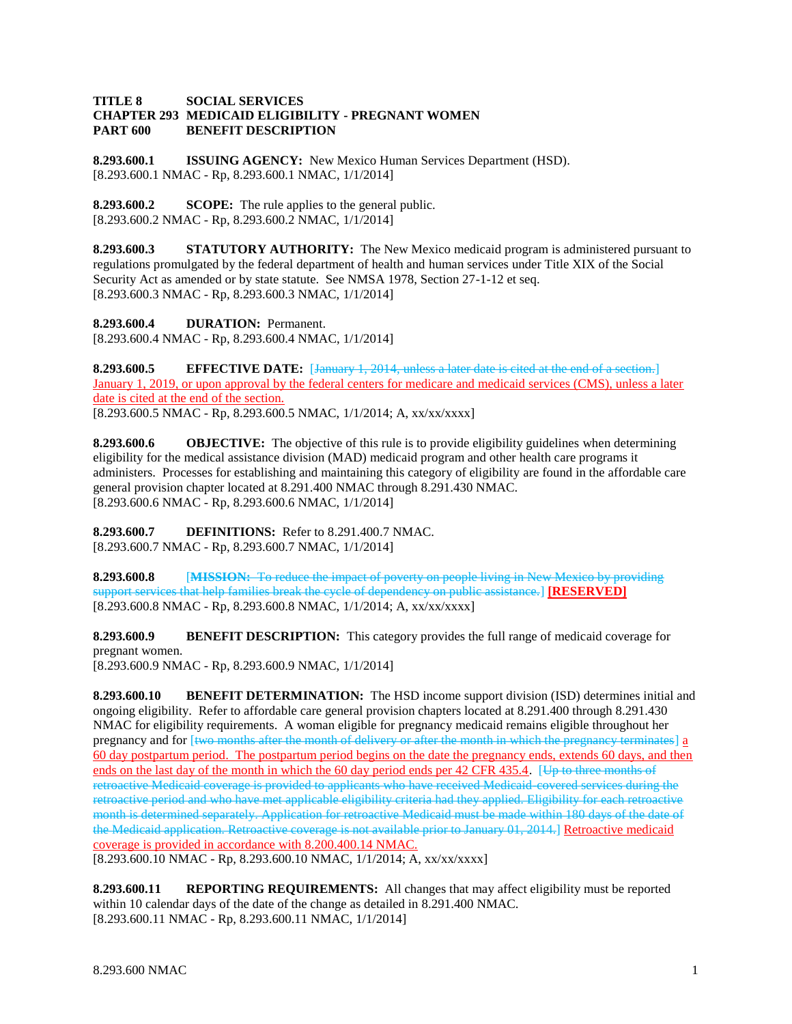## **TITLE 8 SOCIAL SERVICES CHAPTER 293 MEDICAID ELIGIBILITY - PREGNANT WOMEN PART 600 BENEFIT DESCRIPTION**

**8.293.600.1 ISSUING AGENCY:** New Mexico Human Services Department (HSD). [8.293.600.1 NMAC - Rp, 8.293.600.1 NMAC, 1/1/2014]

**8.293.600.2 SCOPE:** The rule applies to the general public. [8.293.600.2 NMAC - Rp, 8.293.600.2 NMAC, 1/1/2014]

**8.293.600.3 STATUTORY AUTHORITY:** The New Mexico medicaid program is administered pursuant to regulations promulgated by the federal department of health and human services under Title XIX of the Social Security Act as amended or by state statute. See NMSA 1978, Section 27-1-12 et seq. [8.293.600.3 NMAC - Rp, 8.293.600.3 NMAC, 1/1/2014]

**8.293.600.4 DURATION:** Permanent. [8.293.600.4 NMAC - Rp, 8.293.600.4 NMAC, 1/1/2014]

**8.293.600.5 EFFECTIVE DATE:** [January 1, 2014, unless a later date is cited at the end of a section.] January 1, 2019, or upon approval by the federal centers for medicare and medicaid services (CMS), unless a later date is cited at the end of the section. [8.293.600.5 NMAC - Rp, 8.293.600.5 NMAC, 1/1/2014; A, xx/xx/xxxx]

**8.293.600.6 OBJECTIVE:** The objective of this rule is to provide eligibility guidelines when determining eligibility for the medical assistance division (MAD) medicaid program and other health care programs it administers. Processes for establishing and maintaining this category of eligibility are found in the affordable care general provision chapter located at 8.291.400 NMAC through 8.291.430 NMAC. [8.293.600.6 NMAC - Rp, 8.293.600.6 NMAC, 1/1/2014]

**8.293.600.7 DEFINITIONS:** Refer to 8.291.400.7 NMAC. [8.293.600.7 NMAC - Rp, 8.293.600.7 NMAC, 1/1/2014]

**8.293.600.8** [**MISSION:** To reduce the impact of poverty on people living in New Mexico by providing support services that help families break the cycle of dependency on public assistance.] **[RESERVED]** [8.293.600.8 NMAC - Rp, 8.293.600.8 NMAC, 1/1/2014; A, xx/xx/xxxx]

**8.293.600.9 BENEFIT DESCRIPTION:** This category provides the full range of medicaid coverage for pregnant women.

[8.293.600.9 NMAC - Rp, 8.293.600.9 NMAC, 1/1/2014]

**8.293.600.10 BENEFIT DETERMINATION:** The HSD income support division (ISD) determines initial and ongoing eligibility. Refer to affordable care general provision chapters located at 8.291.400 through 8.291.430 NMAC for eligibility requirements. A woman eligible for pregnancy medicaid remains eligible throughout her pregnancy and for [two months after the month of delivery or after the month in which the pregnancy terminates] a 60 day postpartum period. The postpartum period begins on the date the pregnancy ends, extends 60 days, and then ends on the last day of the month in which the 60 day period ends per 42 CFR 435.4. [Up to three months of retroactive Medicaid coverage is provided to applicants who have received Medicaid-covered services during the retroactive period and who have met applicable eligibility criteria had they applied. Eligibility for each retroactive month is determined separately. Application for retroactive Medicaid must be made within 180 days of the date of the Medicaid application. Retroactive coverage is not available prior to January 01, 2014.] Retroactive medicaid coverage is provided in accordance with 8.200.400.14 NMAC.

[8.293.600.10 NMAC - Rp, 8.293.600.10 NMAC, 1/1/2014; A, xx/xx/xxxx]

**8.293.600.11 REPORTING REQUIREMENTS:** All changes that may affect eligibility must be reported within 10 calendar days of the date of the change as detailed in 8.291.400 NMAC. [8.293.600.11 NMAC - Rp, 8.293.600.11 NMAC, 1/1/2014]